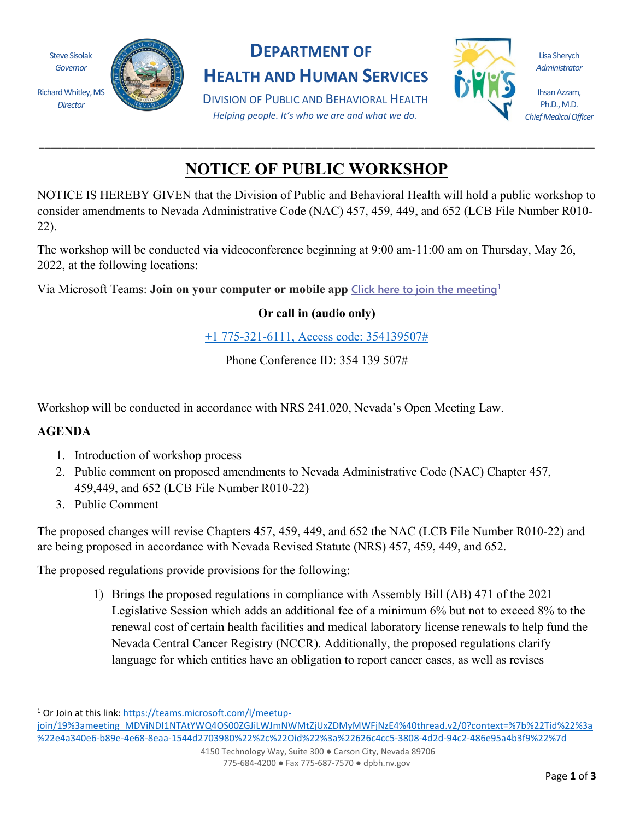

*Director*



## **DEPARTMENT OF**

**HEALTH AND HUMAN SERVICES**

DIVISION OF PUBLIC AND BEHAVIORAL HEALTH *Helping people. It's who we are and what we do.*



Lisa Sherych *Administrator*

Ihsan Azzam, Ph.D., M.D. *Chief Medical Officer*

## **NOTICE OF PUBLIC WORKSHOP**

**\_\_\_\_\_\_\_\_\_\_\_\_\_\_\_\_\_\_\_\_\_\_\_\_\_\_\_\_\_\_\_\_\_\_\_\_\_\_\_\_\_\_\_\_\_\_\_\_\_\_\_\_\_\_\_\_\_\_\_\_\_\_\_\_\_\_\_\_\_\_\_\_\_\_\_\_\_\_\_\_\_\_\_\_\_\_\_\_\_\_\_\_\_\_\_\_\_\_**

NOTICE IS HEREBY GIVEN that the Division of Public and Behavioral Health will hold a public workshop to consider amendments to Nevada Administrative Code (NAC) 457, 459, 449, and 652 (LCB File Number R010- 22).

The workshop will be conducted via videoconference beginning at 9:00 am-11:00 am on Thursday, May 26, 2022, at the following locations:

Via Microsoft Teams: **Join on your computer or mobile app [Click here to join the meeting](https://teams.microsoft.com/l/meetup-join/19%3ameeting_MDViNDI1NTAtYWQ4OS00ZGJiLWJmNWMtZjUxZDMyMWFjNzE4%40thread.v2/0?context=%7b%22Tid%22%3a%22e4a340e6-b89e-4e68-8eaa-1544d2703980%22%2c%22Oid%22%3a%22626c4cc5-3808-4d2d-94c2-486e95a4b3f9%22%7d)[1](#page-0-0)**

**Or call in (audio only)**

[+1 775-321-6111, Access code: 354139507#](tel:+17753216111,,354139507#%20)

Phone Conference ID: 354 139 507#

Workshop will be conducted in accordance with NRS 241.020, Nevada's Open Meeting Law.

## **AGENDA**

- 1. Introduction of workshop process
- 2. Public comment on proposed amendments to Nevada Administrative Code (NAC) Chapter 457, 459,449, and 652 (LCB File Number R010-22)
- 3. Public Comment

The proposed changes will revise Chapters 457, 459, 449, and 652 the NAC (LCB File Number R010-22) and are being proposed in accordance with Nevada Revised Statute (NRS) 457, 459, 449, and 652.

The proposed regulations provide provisions for the following:

1) Brings the proposed regulations in compliance with Assembly Bill (AB) 471 of the 2021 Legislative Session which adds an additional fee of a minimum 6% but not to exceed 8% to the renewal cost of certain health facilities and medical laboratory license renewals to help fund the Nevada Central Cancer Registry (NCCR). Additionally, the proposed regulations clarify language for which entities have an obligation to report cancer cases, as well as revises

<span id="page-0-0"></span><sup>1</sup> Or Join at this link: [https://teams.microsoft.com/l/meetup-](https://teams.microsoft.com/l/meetup-join/19%3ameeting_MDViNDI1NTAtYWQ4OS00ZGJiLWJmNWMtZjUxZDMyMWFjNzE4%40thread.v2/0?context=%7b%22Tid%22%3a%22e4a340e6-b89e-4e68-8eaa-1544d2703980%22%2c%22Oid%22%3a%22626c4cc5-3808-4d2d-94c2-486e95a4b3f9%22%7d)

[join/19%3ameeting\\_MDViNDI1NTAtYWQ4OS00ZGJiLWJmNWMtZjUxZDMyMWFjNzE4%40thread.v2/0?context=%7b%22Ti](https://teams.microsoft.com/l/meetup-join/19%3ameeting_MDViNDI1NTAtYWQ4OS00ZGJiLWJmNWMtZjUxZDMyMWFjNzE4%40thread.v2/0?context=%7b%22Tid%22%3a%22e4a340e6-b89e-4e68-8eaa-1544d2703980%22%2c%22Oid%22%3a%22626c4cc5-3808-4d2d-94c2-486e95a4b3f9%22%7d)d%22%3a [%22e4a340e6-b89e-4e68-8eaa-1544d2703980%22%2c%22Oid%22%3a%22626c4cc5-3808-4d2d-94c2-486e95a4b3f9%22%7d](https://teams.microsoft.com/l/meetup-join/19%3ameeting_MDViNDI1NTAtYWQ4OS00ZGJiLWJmNWMtZjUxZDMyMWFjNzE4%40thread.v2/0?context=%7b%22Tid%22%3a%22e4a340e6-b89e-4e68-8eaa-1544d2703980%22%2c%22Oid%22%3a%22626c4cc5-3808-4d2d-94c2-486e95a4b3f9%22%7d)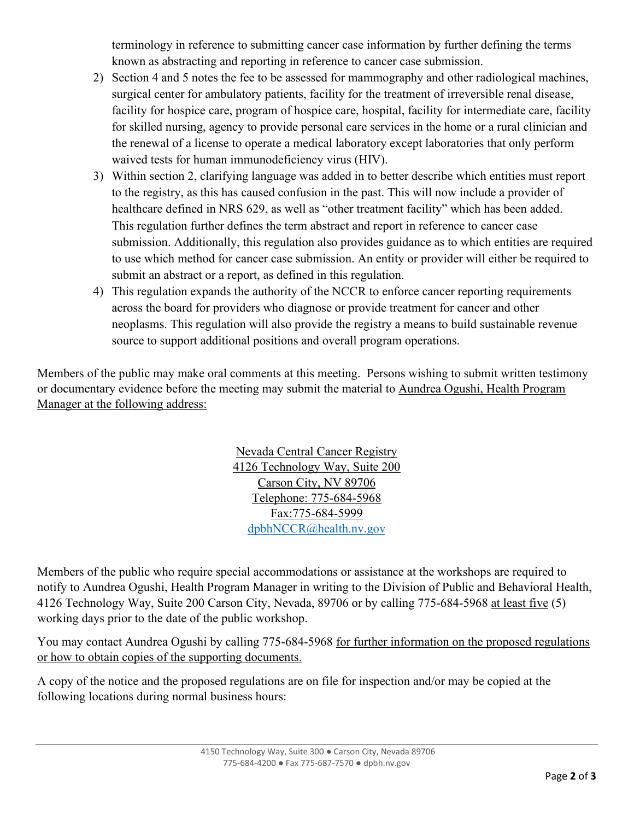terminology in reference to submitting cancer case information by further defining the terms known as abstracting and reporting in reference to cancer case submission.

- 2) Section 4 and 5 notes the fee to be assessed for mammography and other radiological machines, surgical center for ambulatory patients, facility for the treatment of irreversible renal disease, facility for hospice care, program of hospice care, hospital, facility for intermediate care, facility for skilled nursing, agency to provide personal care services in the home or a rural clinician and the renewal of a license to operate a medical laboratory except laboratories that only perform waived tests for human immunodeficiency virus (HIV).
- 3) Within section 2, clarifying language was added in to better describe which entities must report to the registry, as this has caused confusion in the past. This will now include a provider of healthcare defined in NRS 629, as well as "other treatment facility" which has been added. This regulation further defines the term abstract and report in reference to cancer case submission. Additionally, this regulation also provides guidance as to which entities are required to use which method for cancer case submission. An entity or provider will either be required to submit an abstract or a report, as defined in this regulation.
- 4) This regulation expands the authority of the NCCR to enforce cancer reporting requirements across the board for providers who diagnose or provide treatment for cancer and other neoplasms. This regulation will also provide the registry a means to build sustainable revenue source to support additional positions and overall program operations.

Members of the public may make oral comments at this meeting. Persons wishing to submit written testimony or documentary evidence before the meeting may submit the material to Aundrea Ogushi, Health Program Manager at the following address:

> Nevada Central Cancer Registry 4126 Technology Way, Suite 200 Carson City, NV 89706 Telephone: 775-684-5968 Fax:775-684-5999 [dpbhNCCR@health.nv.gov](mailto:dpbhNCCR@health.nv.gov)

Members of the public who require special accommodations or assistance at the workshops are required to notify to Aundrea Ogushi, Health Program Manager in writing to the Division of Public and Behavioral Health, 4126 Technology Way, Suite 200 Carson City, Nevada, 89706 or by calling 775-684-5968 at least five (5) working days prior to the date of the public workshop.

You may contact Aundrea Ogushi by calling 775-684-5968 for further information on the proposed regulations or how to obtain copies of the supporting documents.

A copy of the notice and the proposed regulations are on file for inspection and/or may be copied at the following locations during normal business hours: